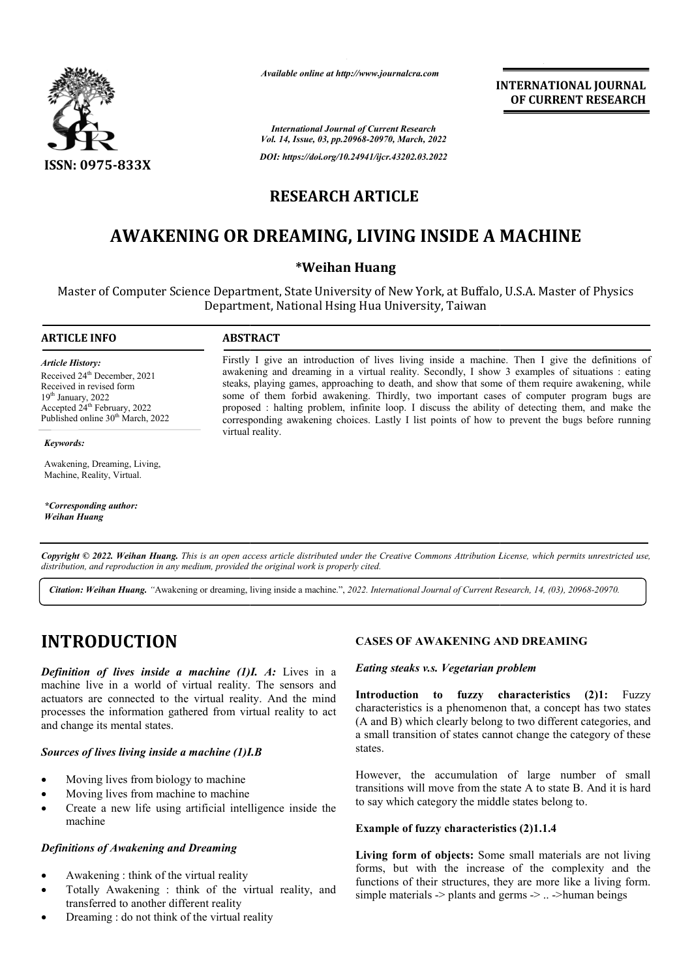

*Available online at http://www.journalcra.com*

*International Journal of Current Research Vol. 14, Issue, 03, pp.20968-20970, March, 2022*

*DOI: https://doi.org/10.24941/ijcr.43202.03.2022*

# **RESEARCH ARTICLE**

# **AWAKENING OR DREAMING, LIVING INSIDE A MACHINE LIVING**

# **\*Weihan Huang**

Master of Computer Science Department, State University of New York, at Buffalo, U.S.A. Master of Physics at Buffalo, Department, National Hsing Hua University, Taiwan

#### **ARTICLE INFO ABSTRACT**

*Article History:* Received 24<sup>th</sup> December, 2021 Received in revised form 19<sup>th</sup> January, 2022 Accepted 24<sup>th</sup> February, 2022 Published online 30<sup>th</sup> March, 2022

*Keywords: Keywords:*

Awakening, Dreaming, Living, Machine, Reality, Virtual.

*\*Corresponding author: \*Corresponding author: Oldemar de Oliveira Carvalho-Junior Weihan Huang*

Firstly I give an introduction of lives living inside a machine. Then I give the definitions of awakening and dreaming in a virtual reality. Secondly, I show 3 examples of situations : eating steaks, playing games, approaching to death, and show that some of them require awakening, while some of them forbid awakening. Thirdly, two important cases of computer program bugs are proposed : halting problem, infinite loop. I discuss the ability of detecting them, and make the corresponding awakening choices. Lastly I list points of how to prevent the bugs before running virtual reality. awakening and dreaming in a virtual reality. Secondly, I show 3 examples of situations : steaks, playing games, approaching to death, and show that some of them require awakening some of them forbid awakening. Thirdly, two

Copyright © 2022. Weihan Huang. This is an open access article distributed under the Creative Commons Attribution License, which permits unrestricted use, *distribution, and reproduction in any medium, provided the original work is properly cited.*

Citation: Weihan Huang. "Awakening or dreaming, living inside a machine.", 2022. International Journal of Current Research, 14, (03), 20968-20970.

# **INTRODUCTION**

**Definition of lives inside a machine (1)I. A: Lives in a** machine live in a world of virtual reality. The sensors and actuators are connected to the virtual reality. And the mind processes the information gathered from virtual reality to act and change its mental states.

## *Sources of lives living inside a machine (1)I.B*

- Moving lives from biology to machine
- Moving lives from machine to machine
- Create a new life using artificial intelligence inside the machine

## *Definitions of Awakening and Dreaming*

- Awakening : think of the virtual reality
- Totally Awakening : think of the virtual reality, and transferred to another different reality
- Dreaming : do not think of the virtual reality

#### *Eating steaks v.s. Vegetarian problem*

**CASES OF AWAKENING AND DREAMING**<br> *I. A:* Lives in a *Eating steaks v.s. Vegetarian problem*<br> *C.* The sensors and **Introduction to fuzzy characteristics** (<br>
dentracteristics is a phenomenon that, a concept intual reali **Introduction to fuzzy characteristics fuzzy (2)1:** Fuzzy characteristics is a phenomenon that, a concept has two states (A and B) which clearly belong to two different categories, and a small transition of states cannot change the category of these states. is a phenomenon that, a concept has two states<br>
A and B) which clearly belong to two different categories, and<br>
small transition of states cannot change the category of these<br>
ates.<br>
owever, the accumulation of large numbe

**INTERNATIONAL JOURNAL**

**OF CURRENT RESEARCH**

However, the accumulation of large number of small transitions will move from the state A to state B. And it is hard to say which category the middle states belong to.

#### **Example of fuzzy characteristics (2)1.1.4**

Living form of objects: Some small materials are not living forms, but with the increase of the complexity and the functions of their structures, they are more like a living form. simple materials  $\rightarrow$  plants and germs  $\rightarrow$  ..  $\rightarrow$  human beings but with the increase of the complexity and<br>is of their structures, they are more like a living for<br>materials  $\rightarrow$  plants and germs  $\rightarrow$  ...  $\rightarrow$ human beings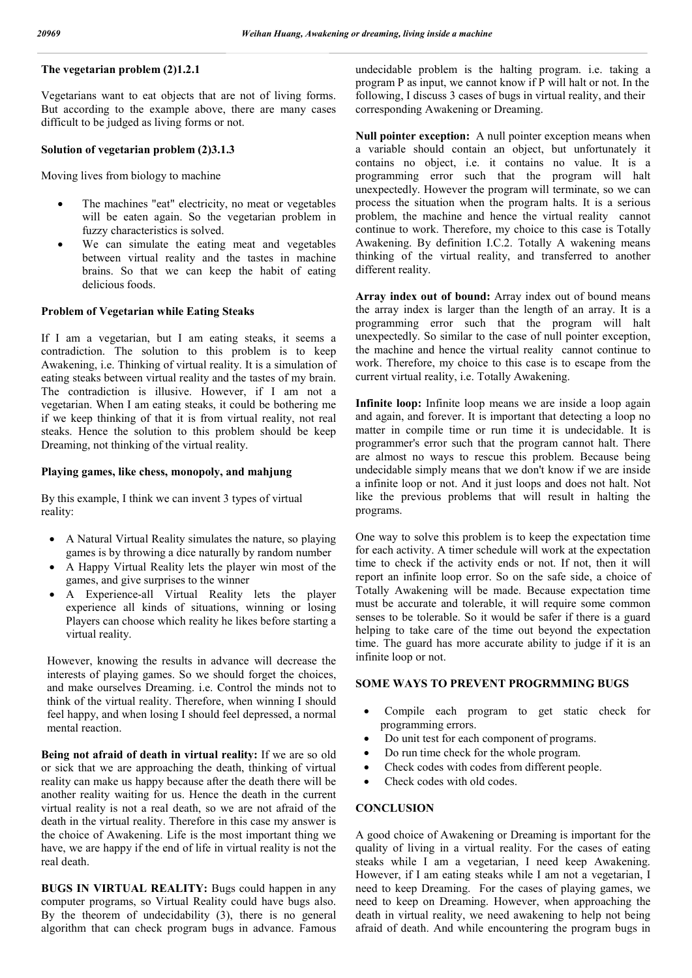# **The vegetarian problem (2)1.2.1**

Vegetarians want to eat objects that are not of living forms. But according to the example above, there are many cases difficult to be judged as living forms or not.

### **Solution of vegetarian problem (2)3.1.3**

Moving lives from biology to machine

- The machines "eat" electricity, no meat or vegetables will be eaten again. So the vegetarian problem in fuzzy characteristics is solved.
- We can simulate the eating meat and vegetables between virtual reality and the tastes in machine brains. So that we can keep the habit of eating delicious foods.

## **Problem of Vegetarian while Eating Steaks**

If I am a vegetarian, but I am eating steaks, it seems a contradiction. The solution to this problem is to keep Awakening, i.e. Thinking of virtual reality. It is a simulation of eating steaks between virtual reality and the tastes of my brain. The contradiction is illusive. However, if I am not a vegetarian. When I am eating steaks, it could be bothering me if we keep thinking of that it is from virtual reality, not real steaks. Hence the solution to this problem should be keep Dreaming, not thinking of the virtual reality.

### **Playing games, like chess, monopoly, and mahjung**

By this example, I think we can invent 3 types of virtual reality:

- A Natural Virtual Reality simulates the nature, so playing games is by throwing a dice naturally by random number
- A Happy Virtual Reality lets the player win most of the games, and give surprises to the winner
- A Experience-all Virtual Reality lets the player experience all kinds of situations, winning or losing Players can choose which reality he likes before starting a virtual reality.

However, knowing the results in advance will decrease the interests of playing games. So we should forget the choices, and make ourselves Dreaming. i.e. Control the minds not to think of the virtual reality. Therefore, when winning I should feel happy, and when losing I should feel depressed, a normal mental reaction.

**Being not afraid of death in virtual reality:** If we are so old or sick that we are approaching the death, thinking of virtual reality can make us happy because after the death there will be another reality waiting for us. Hence the death in the current virtual reality is not a real death, so we are not afraid of the death in the virtual reality. Therefore in this case my answer is the choice of Awakening. Life is the most important thing we have, we are happy if the end of life in virtual reality is not the real death.

**BUGS IN VIRTUAL REALITY:** Bugs could happen in any computer programs, so Virtual Reality could have bugs also. By the theorem of undecidability (3), there is no general algorithm that can check program bugs in advance. Famous undecidable problem is the halting program. i.e. taking a program P as input, we cannot know if P will halt or not. In the following, I discuss 3 cases of bugs in virtual reality, and their corresponding Awakening or Dreaming.

**Null pointer exception:** A null pointer exception means when a variable should contain an object, but unfortunately it contains no object, i.e. it contains no value. It is a programming error such that the program will halt unexpectedly. However the program will terminate, so we can process the situation when the program halts. It is a serious problem, the machine and hence the virtual reality cannot continue to work. Therefore, my choice to this case is Totally Awakening. By definition I.C.2. Totally A wakening means thinking of the virtual reality, and transferred to another different reality.

**Array index out of bound:** Array index out of bound means the array index is larger than the length of an array. It is a programming error such that the program will halt unexpectedly. So similar to the case of null pointer exception, the machine and hence the virtual reality cannot continue to work. Therefore, my choice to this case is to escape from the current virtual reality, i.e. Totally Awakening.

**Infinite loop:** Infinite loop means we are inside a loop again and again, and forever. It is important that detecting a loop no matter in compile time or run time it is undecidable. It is programmer's error such that the program cannot halt. There are almost no ways to rescue this problem. Because being undecidable simply means that we don't know if we are inside a infinite loop or not. And it just loops and does not halt. Not like the previous problems that will result in halting the programs.

One way to solve this problem is to keep the expectation time for each activity. A timer schedule will work at the expectation time to check if the activity ends or not. If not, then it will report an infinite loop error. So on the safe side, a choice of Totally Awakening will be made. Because expectation time must be accurate and tolerable, it will require some common senses to be tolerable. So it would be safer if there is a guard helping to take care of the time out beyond the expectation time. The guard has more accurate ability to judge if it is an infinite loop or not.

#### **SOME WAYS TO PREVENT PROGRMMING BUGS**

- Compile each program to get static check for programming errors.
- Do unit test for each component of programs.
- Do run time check for the whole program.
- Check codes with codes from different people.
- Check codes with old codes.

# **CONCLUSION**

A good choice of Awakening or Dreaming is important for the quality of living in a virtual reality. For the cases of eating steaks while I am a vegetarian, I need keep Awakening. However, if I am eating steaks while I am not a vegetarian, I need to keep Dreaming. For the cases of playing games, we need to keep on Dreaming. However, when approaching the death in virtual reality, we need awakening to help not being afraid of death. And while encountering the program bugs in